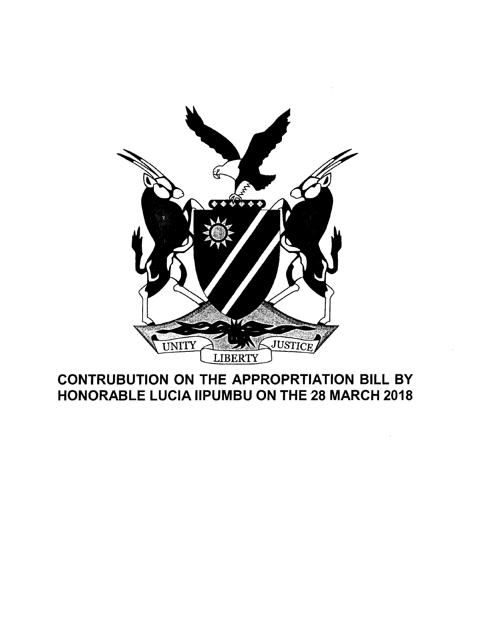

# CONTRUBUTION ON THE APPROPRTIATION BILL BY HONORABLE LUCIA IIPUMBU ON THE 28 MARCH 2018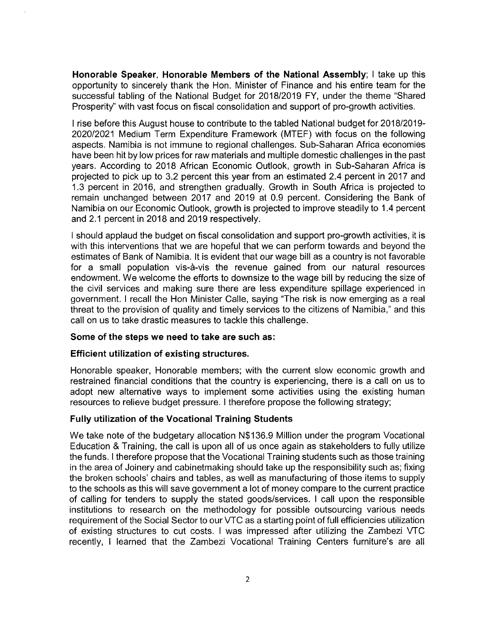**Honorable Speaker, Honorable Members of the National Assembly;** I take up this opportunity to sincerely thank the Hon. Minister of Finance and his entire team for the successful tabling of the National Budget for *2018/2019* FY, under the theme "Shared Prosperity" with vast focus on fiscal consolidation and support of pro-growth activities.

I rise before this August house to contribute to the tabled National budget for *2018/2019- 2020/2021* Medium Term Expenditure Framework (MTEF) with focus on the following aspects. Namibia is not immune to regional challenges. Sub-Saharan Africa economies have been hit by low prices for raw materials and multiple domestic challenges in the past years. According to 2018 African Economic Outlook, growth in Sub-Saharan Africa is projected to pick up to 3.2 percent this year from an estimated 2.4 percent in 2017 and 1.3 percent in 2016, and strengthen gradually. Growth in South Africa is projected to remain unchanged between 2017 and 2019 at 0.9 percent. Considering the Bank of Namibia on our Economic Outlook, growth is projected to improve steadily to 1.4 percent and 2.1 percent in 2018 and 2019 respectively.

I should applaud the budget on fiscal consolidation and support pro-growth activities, it is with this interventions that we are hopeful that we can perform towards and beyond the estimates of Bank of Namibia. It is evident that our wage bill as a country is not favorable for a small population vis-à-vis the revenue gained from our natural resources endowment. We welcome the efforts to downsize to the wage bill by reducing the size of the civil services and making sure there are less expenditure spillage experienced in government. I recall the Hon Minister Calle, saying "The risk is now emerging as a real threat to the provision of quality and timely services to the citizens of Namibia," and this call on us to take drastic measures to tackle this challenge.

### **Some of the steps we need to take are such as:**

### **Efficient utilization of existing structures.**

Honorable speaker, Honorable members; with the current slow economic growth and restrained financial conditions that the country is experiencing, there is a call on us to adopt new alternative ways to implement some activities using the existing human resources to relieve budget pressure. I therefore propose the following strategy;

### **Fully utilization of the Vocational Training Students**

We take note of the budgetary allocation N\$136.9 Million under the program Vocational Education & Training, the call is upon all of us once again as stakeholders to fully utilize the funds. I therefore propose that the Vocational Training students such as those training in the area of Joinery and cabinetmaking should take up the responsibility such as; fixing the broken schools' chairs and tables, as well as manufacturing of those items to supply to the schools as this will save government a lot of money compare to the current practice of calling for tenders to supply the stated goods/services. I call upon the responsible institutions to research on the methodology for possible outsourcing various needs requirement of the Social Sector to our VTC as a starting point of full efficiencies utilization of existing structures to cut costs. I was impressed after utilizing the Zambezi VTC recently, I learned that the Zambezi Vocational Training Centers furniture's are all